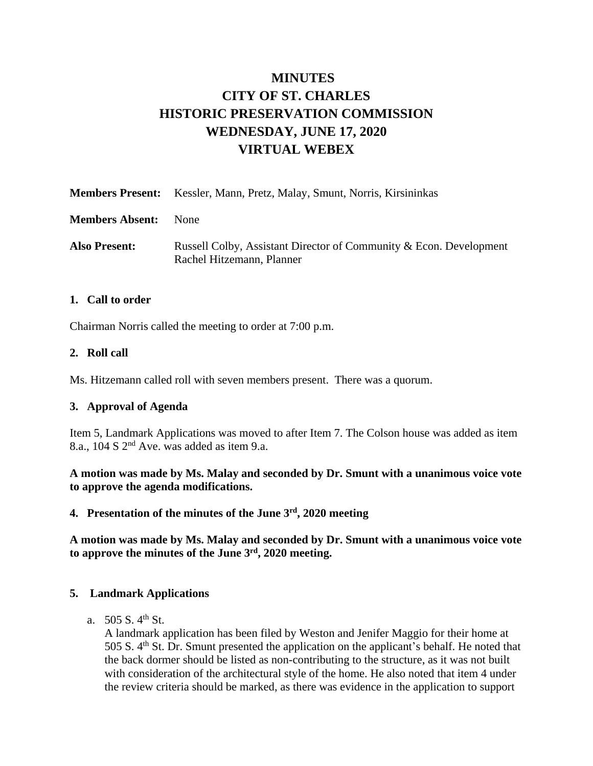# **MINUTES CITY OF ST. CHARLES HISTORIC PRESERVATION COMMISSION WEDNESDAY, JUNE 17, 2020 VIRTUAL WEBEX**

|                        | <b>Members Present:</b> Kessler, Mann, Pretz, Malay, Smunt, Norris, Kirsininkas                 |
|------------------------|-------------------------------------------------------------------------------------------------|
| <b>Members Absent:</b> | None.                                                                                           |
| <b>Also Present:</b>   | Russell Colby, Assistant Director of Community & Econ. Development<br>Rachel Hitzemann, Planner |

#### **1. Call to order**

Chairman Norris called the meeting to order at 7:00 p.m.

#### **2. Roll call**

Ms. Hitzemann called roll with seven members present. There was a quorum.

#### **3. Approval of Agenda**

Item 5, Landmark Applications was moved to after Item 7. The Colson house was added as item 8.a.,  $104 S 2<sup>nd</sup> Ave.$  was added as item 9.a.

## **A motion was made by Ms. Malay and seconded by Dr. Smunt with a unanimous voice vote to approve the agenda modifications.**

### **4. Presentation of the minutes of the June 3 rd, 2020 meeting**

**A motion was made by Ms. Malay and seconded by Dr. Smunt with a unanimous voice vote to approve the minutes of the June 3 rd , 2020 meeting.** 

#### **5. Landmark Applications**

a.  $505 S$ . 4<sup>th</sup> St.

A landmark application has been filed by Weston and Jenifer Maggio for their home at 505 S. 4<sup>th</sup> St. Dr. Smunt presented the application on the applicant's behalf. He noted that the back dormer should be listed as non-contributing to the structure, as it was not built with consideration of the architectural style of the home. He also noted that item 4 under the review criteria should be marked, as there was evidence in the application to support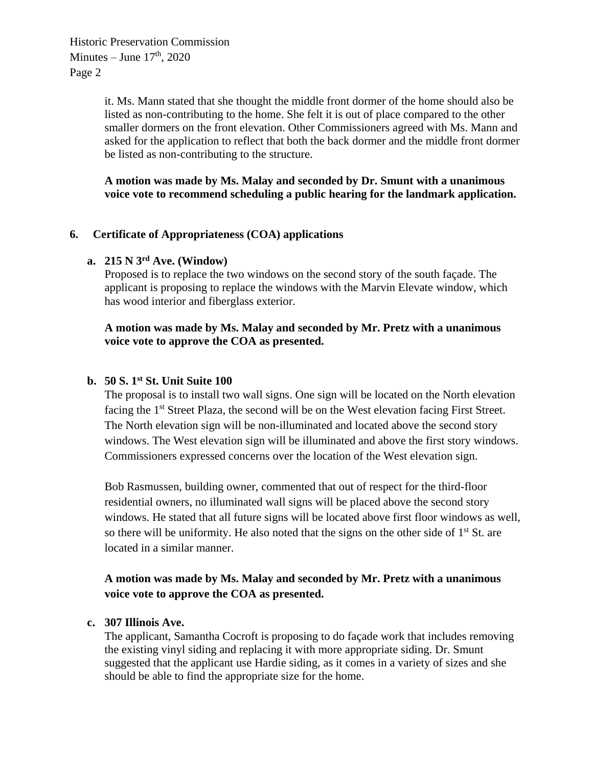Historic Preservation Commission Minutes – June  $17<sup>th</sup>$ , 2020 Page 2

> it. Ms. Mann stated that she thought the middle front dormer of the home should also be listed as non-contributing to the home. She felt it is out of place compared to the other smaller dormers on the front elevation. Other Commissioners agreed with Ms. Mann and asked for the application to reflect that both the back dormer and the middle front dormer be listed as non-contributing to the structure.

> **A motion was made by Ms. Malay and seconded by Dr. Smunt with a unanimous voice vote to recommend scheduling a public hearing for the landmark application.**

## **6. Certificate of Appropriateness (COA) applications**

#### **a. 215 N 3rd Ave. (Window)**

Proposed is to replace the two windows on the second story of the south façade. The applicant is proposing to replace the windows with the Marvin Elevate window, which has wood interior and fiberglass exterior.

## **A motion was made by Ms. Malay and seconded by Mr. Pretz with a unanimous voice vote to approve the COA as presented.**

## **b. 50 S. 1st St. Unit Suite 100**

The proposal is to install two wall signs. One sign will be located on the North elevation facing the 1<sup>st</sup> Street Plaza, the second will be on the West elevation facing First Street. The North elevation sign will be non-illuminated and located above the second story windows. The West elevation sign will be illuminated and above the first story windows. Commissioners expressed concerns over the location of the West elevation sign.

Bob Rasmussen, building owner, commented that out of respect for the third-floor residential owners, no illuminated wall signs will be placed above the second story windows. He stated that all future signs will be located above first floor windows as well, so there will be uniformity. He also noted that the signs on the other side of  $1<sup>st</sup>$  St. are located in a similar manner.

# **A motion was made by Ms. Malay and seconded by Mr. Pretz with a unanimous voice vote to approve the COA as presented.**

#### **c. 307 Illinois Ave.**

The applicant, Samantha Cocroft is proposing to do façade work that includes removing the existing vinyl siding and replacing it with more appropriate siding. Dr. Smunt suggested that the applicant use Hardie siding, as it comes in a variety of sizes and she should be able to find the appropriate size for the home.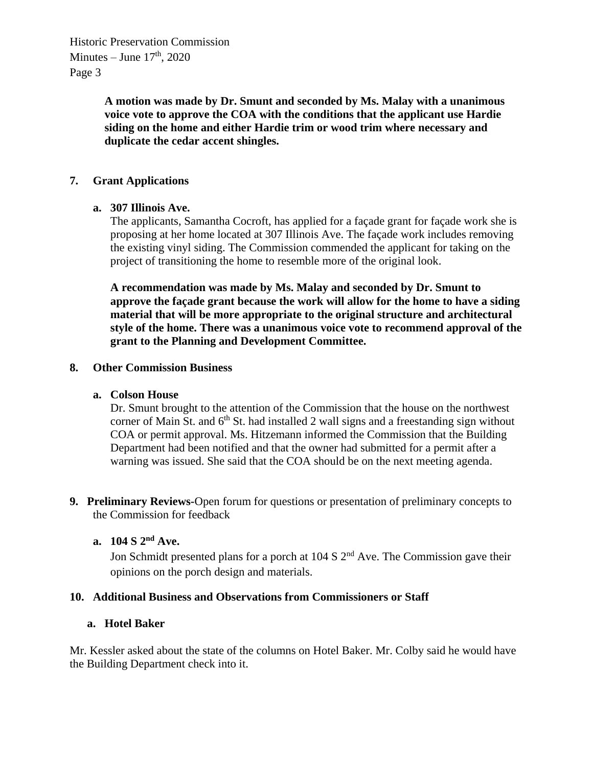Historic Preservation Commission Minutes – June  $17<sup>th</sup>$ , 2020 Page 3

> **A motion was made by Dr. Smunt and seconded by Ms. Malay with a unanimous voice vote to approve the COA with the conditions that the applicant use Hardie siding on the home and either Hardie trim or wood trim where necessary and duplicate the cedar accent shingles.**

# **7. Grant Applications**

## **a. 307 Illinois Ave.**

The applicants, Samantha Cocroft, has applied for a façade grant for façade work she is proposing at her home located at 307 Illinois Ave. The façade work includes removing the existing vinyl siding. The Commission commended the applicant for taking on the project of transitioning the home to resemble more of the original look.

**A recommendation was made by Ms. Malay and seconded by Dr. Smunt to approve the façade grant because the work will allow for the home to have a siding material that will be more appropriate to the original structure and architectural style of the home. There was a unanimous voice vote to recommend approval of the grant to the Planning and Development Committee.** 

#### **8. Other Commission Business**

#### **a. Colson House**

Dr. Smunt brought to the attention of the Commission that the house on the northwest corner of Main St. and  $6<sup>th</sup>$  St. had installed 2 wall signs and a freestanding sign without COA or permit approval. Ms. Hitzemann informed the Commission that the Building Department had been notified and that the owner had submitted for a permit after a warning was issued. She said that the COA should be on the next meeting agenda.

**9. Preliminary Reviews-**Open forum for questions or presentation of preliminary concepts to the Commission for feedback

# **a. 104 S 2nd Ave.**

Jon Schmidt presented plans for a porch at  $104$  S  $2<sup>nd</sup>$  Ave. The Commission gave their opinions on the porch design and materials.

#### **10. Additional Business and Observations from Commissioners or Staff**

#### **a. Hotel Baker**

Mr. Kessler asked about the state of the columns on Hotel Baker. Mr. Colby said he would have the Building Department check into it.